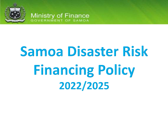

# **Samoa Disaster Risk Financing Policy** 2022/2025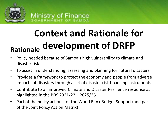

# **Rationale Context and Rationale for development of DRFP**

- Policy needed because of Samoa's high vulnerability to climate and disaster risk
- To assist in understanding, assessing and planning for natural disasters
- Provides a framework to protect the economy and people from adverse impacts of disasters through a set of disaster risk financing instruments
- Contribute to an improved Climate and Disaster Resilience response as highlighted in the PDS 2021/22 – 2025/26
- Part of the policy actions for the World Bank Budget Support (and part of the Joint Policy Action Matrix)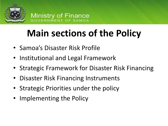

# **Main sections of the Policy**

- Samoa's Disaster Risk Profile
- Institutional and Legal Framework
- Strategic Framework for Disaster Risk Financing
- Disaster Risk Financing Instruments
- Strategic Priorities under the policy
- Implementing the Policy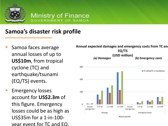

### **Samoa's disaster risk profile**

- Samoa faces average annual losses of up to **US\$10m**, from tropical cyclone (TC) and earthquake/tsunami (EQ/TS) events.
- **Emergency losses** account for **US\$2.3m** of this figure. Emergency losses could be as high as US\$35m for a 1-in-100 year event for TC and EQ.

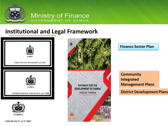

### **Institutional and Legal Framework**





PATHWAY FOR THE **DEVELOPMENT OF SAMOA** 

FY2021/22 - FY2025/26

**ALL** 

#### **Finance Sector Plan**

**Community Integrated Management Plans**

**District Development Plans**

**INSURANCE ACT 2007**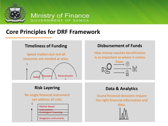

### **Core Principles for DRF Framework**



#### **Disbursement of Funds**

How money reaches beneficiaries is as important as where it comes



#### **Risk Layering**

No single financial instrument can address all risks.



#### **Data & Analytics**

Sound financial decisions require the right financial information and



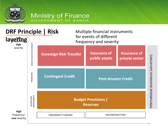

### **DRF Principle | Risk**

#### Multiple financial instruments for events of different frequency and severity

laye<sup>r</sup>ing frequency/ MARKET-BASED INSTRUMENTS MARKET-BASED INSTRUMENTS **High** severity **Insurance of Insurance of Sovereign Risk Transfer** International Assistance (uncertain) international Assistance (uncertain **public assets private sector**FINANCING **Contingent Credit Post-disaster Credit** BUDGETARY<br>INSTRUMENTS INSTRUMENTS BUDGETARY **Budget Provisions / Reserves High** frequency/ EMERGENCY FUNDING RECONSTRUCTION **Low** severity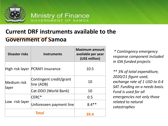

### **Current DRF instruments available to the Government of Samoa**

| <b>Disaster risks</b> | <b>Instruments</b>                    | <b>Maximum amount</b><br>available per year<br>(US\$ million) |
|-----------------------|---------------------------------------|---------------------------------------------------------------|
|                       | High risk layer  PCRAFI insurance     | 10.5                                                          |
| Medium risk<br>layer  | Contingent credit/grant<br>line (ADB) | 10                                                            |
|                       | Cat-DDO (World Bank)                  | 10                                                            |
| Low risk layer        | CERC*                                 | 0.5                                                           |
|                       | Unforeseen payment line               | $8.4**$                                                       |
| <b>Total</b>          |                                       |                                                               |

*\* Contingency emergency response component included in IDA funded projects*

*\*\* 3% of total expenditure, 2020/21 figure used, exchange rate of 1 USD to 0.4 SAT. Funding on a needs basis. Fund is used for all emergencies not only those related to natural catastrophes*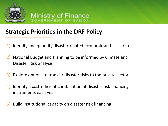

# **Strategic Priorities in the DRF Policy**

- 1) Identify and quantify disaster-related economic and fiscal risks
- 2) National Budget and Planning to be informed by Climate and Disaster Risk analysis
- 3) Explore options to transfer disaster risks to the private sector
- 4) Identify a cost-efficient combination of disaster risk financing instruments each year
- 5) Build institutional capacity on disaster risk financing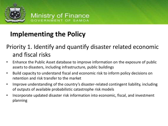

# **Implementing the Policy**

# Priority 1. Identify and quantify disaster related economic and fiscal risks

- Enhance the Public Asset database to improve information on the exposure of public assets to disasters, including infrastructure, public buildings
- Build capacity to understand fiscal and economic risk to inform policy decisions on retention and risk transfer to the market
- Improve understanding of the country's disaster-related contingent liability, including of outputs of available probabilistic catastrophe risk models
- Incorporate updated disaster risk information into economic, fiscal, and investment planning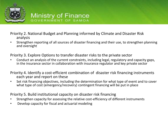

Priority 2. National Budget and Planning informed by Climate and Disaster Risk analysis

• Strengthen reporting of all sources of disaster financing and their use, to strengthen planning and oversight

Priority 3. Explore Options to transfer disaster risks to the private sector

• Conduct an analysis of the current constraints, including legal, regulatory and capacity gaps, in the insurance sector in collaboration with insurance regulator and key private sector

Priority 4. Identify a cost-efficient combination of disaster risk financing instruments each year and report on these

• Set risk financing objectives, including the determination for what type of event and to cover what type of cost (emergency/recovery) contingent financing will be put in place

Priority 5. Build institutional capacity on disaster risk financing

- Strengthen capacity for assessing the relative cost-efficiency of different instruments
- Develop capacity for fiscal and actuarial modeling